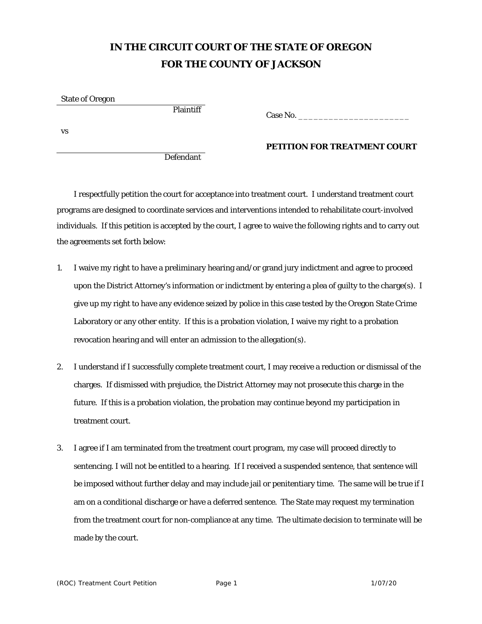# **IN THE CIRCUIT COURT OF THE STATE OF OREGON FOR THE COUNTY OF JACKSON**

State of Oregon

Plaintiff Case No.

vs

Defendant

## **PETITION FOR TREATMENT COURT**

I respectfully petition the court for acceptance into treatment court. I understand treatment court programs are designed to coordinate services and interventions intended to rehabilitate court-involved individuals. If this petition is accepted by the court, I agree to waive the following rights and to carry out the agreements set forth below:

- 1. I waive my right to have a preliminary hearing and/or grand jury indictment and agree to proceed upon the District Attorney's information or indictment by entering a plea of guilty to the charge(s). I give up my right to have any evidence seized by police in this case tested by the Oregon State Crime Laboratory or any other entity. If this is a probation violation, I waive my right to a probation revocation hearing and will enter an admission to the allegation(s).
- 2. I understand if I successfully complete treatment court, I may receive a reduction or dismissal of the charges. If dismissed with prejudice, the District Attorney may not prosecute this charge in the future. If this is a probation violation, the probation may continue beyond my participation in treatment court.
- 3. I agree if I am terminated from the treatment court program, my case will proceed directly to sentencing. I will not be entitled to a hearing. If I received a suspended sentence, that sentence will be imposed without further delay and may include jail or penitentiary time. The same will be true if I am on a conditional discharge or have a deferred sentence. The State may request my termination from the treatment court for non-compliance at any time. The ultimate decision to terminate will be made by the court.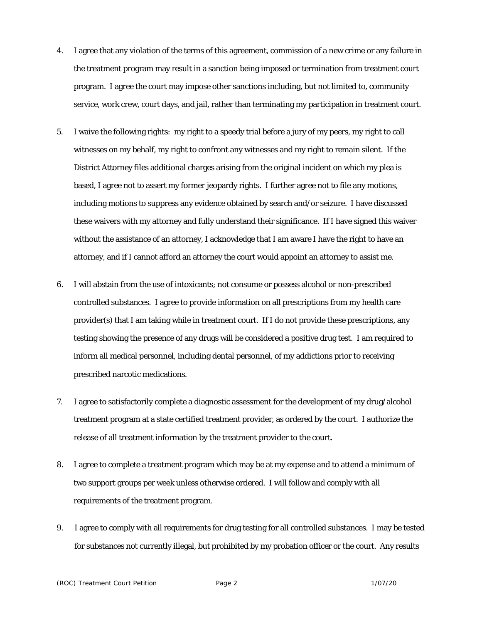- 4. I agree that any violation of the terms of this agreement, commission of a new crime or any failure in the treatment program may result in a sanction being imposed or termination from treatment court program. I agree the court may impose other sanctions including, but not limited to, community service, work crew, court days, and jail, rather than terminating my participation in treatment court.
- 5. I waive the following rights: my right to a speedy trial before a jury of my peers, my right to call witnesses on my behalf, my right to confront any witnesses and my right to remain silent. If the District Attorney files additional charges arising from the original incident on which my plea is based, I agree not to assert my former jeopardy rights. I further agree not to file any motions, including motions to suppress any evidence obtained by search and/or seizure. I have discussed these waivers with my attorney and fully understand their significance. If I have signed this waiver without the assistance of an attorney, I acknowledge that I am aware I have the right to have an attorney, and if I cannot afford an attorney the court would appoint an attorney to assist me.
- 6. I will abstain from the use of intoxicants; not consume or possess alcohol or non-prescribed controlled substances. I agree to provide information on all prescriptions from my health care provider(s) that I am taking while in treatment court. If I do not provide these prescriptions, any testing showing the presence of any drugs will be considered a positive drug test. I am required to inform all medical personnel, including dental personnel, of my addictions prior to receiving prescribed narcotic medications.
- 7. I agree to satisfactorily complete a diagnostic assessment for the development of my drug/alcohol treatment program at a state certified treatment provider, as ordered by the court. I authorize the release of all treatment information by the treatment provider to the court.
- 8. I agree to complete a treatment program which may be at my expense and to attend a minimum of two support groups per week unless otherwise ordered. I will follow and comply with all requirements of the treatment program.
- 9. I agree to comply with all requirements for drug testing for all controlled substances. I may be tested for substances not currently illegal, but prohibited by my probation officer or the court. Any results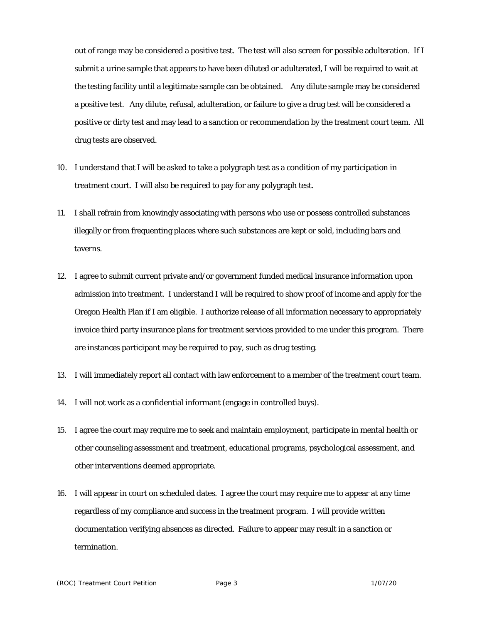out of range may be considered a positive test. The test will also screen for possible adulteration. If I submit a urine sample that appears to have been diluted or adulterated, I will be required to wait at the testing facility until a legitimate sample can be obtained. Any dilute sample may be considered a positive test. Any dilute, refusal, adulteration, or failure to give a drug test will be considered a positive or dirty test and may lead to a sanction or recommendation by the treatment court team. All drug tests are observed.

- 10. I understand that I will be asked to take a polygraph test as a condition of my participation in treatment court. I will also be required to pay for any polygraph test.
- 11. I shall refrain from knowingly associating with persons who use or possess controlled substances illegally or from frequenting places where such substances are kept or sold, including bars and taverns.
- 12. I agree to submit current private and/or government funded medical insurance information upon admission into treatment. I understand I will be required to show proof of income and apply for the Oregon Health Plan if I am eligible. I authorize release of all information necessary to appropriately invoice third party insurance plans for treatment services provided to me under this program. There are instances participant may be required to pay, such as drug testing.
- 13. I will immediately report all contact with law enforcement to a member of the treatment court team.
- 14. I will not work as a confidential informant (engage in controlled buys).
- 15. I agree the court may require me to seek and maintain employment, participate in mental health or other counseling assessment and treatment, educational programs, psychological assessment, and other interventions deemed appropriate.
- 16. I will appear in court on scheduled dates. I agree the court may require me to appear at any time regardless of my compliance and success in the treatment program. I will provide written documentation verifying absences as directed. Failure to appear may result in a sanction or termination.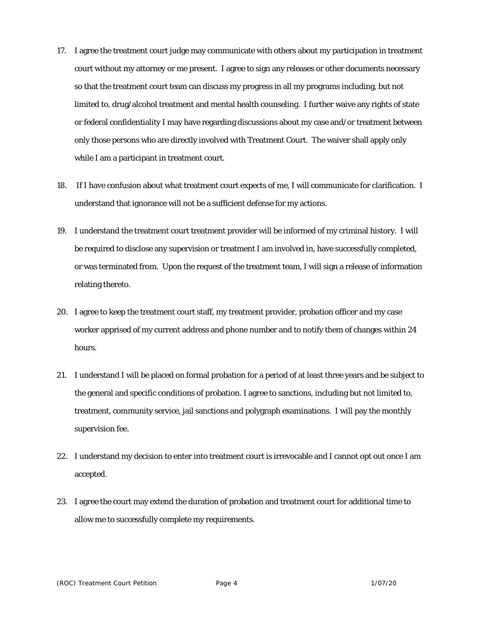- 17. I agree the treatment court judge may communicate with others about my participation in treatment court without my attorney or me present. I agree to sign any releases or other documents necessary so that the treatment court team can discuss my progress in all my programs including, but not limited to, drug/alcohol treatment and mental health counseling. I further waive any rights of state or federal confidentiality I may have regarding discussions about my case and/or treatment between only those persons who are directly involved with Treatment Court. The waiver shall apply only while I am a participant in treatment court.
- 18. If I have confusion about what treatment court expects of me, I will communicate for clarification. I understand that ignorance will not be a sufficient defense for my actions.
- 19. I understand the treatment court treatment provider will be informed of my criminal history. I will be required to disclose any supervision or treatment I am involved in, have successfully completed, or was terminated from. Upon the request of the treatment team, I will sign a release of information relating thereto.
- 20. I agree to keep the treatment court staff, my treatment provider, probation officer and my case worker apprised of my current address and phone number and to notify them of changes within 24 hours.
- 21. I understand I will be placed on formal probation for a period of at least three years and be subject to the general and specific conditions of probation. I agree to sanctions, including but not limited to, treatment, community service, jail sanctions and polygraph examinations. I will pay the monthly supervision fee.
- 22. I understand my decision to enter into treatment court is irrevocable and I cannot opt out once I am accepted.
- 23. I agree the court may extend the duration of probation and treatment court for additional time to allow me to successfully complete my requirements.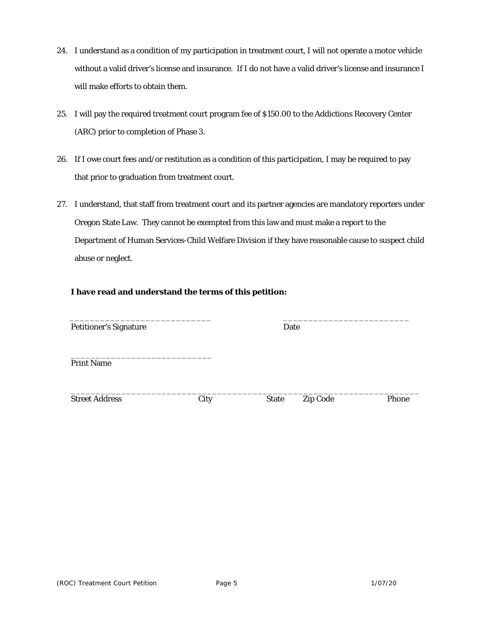- 24. I understand as a condition of my participation in treatment court, I will not operate a motor vehicle without a valid driver's license and insurance. If I do not have a valid driver's license and insurance I will make efforts to obtain them.
- 25. I will pay the required treatment court program fee of \$150.00 to the Addictions Recovery Center (ARC) prior to completion of Phase 3.
- 26. If I owe court fees and/or restitution as a condition of this participation, I may be required to pay that prior to graduation from treatment court.
- 27. I understand, that staff from treatment court and its partner agencies are mandatory reporters under Oregon State Law. They cannot be exempted from this law and must make a report to the Department of Human Services-Child Welfare Division if they have reasonable cause to suspect child abuse or neglect.

### **I have read and understand the terms of this petition:**

| <b>Petitioner's Signature</b> | Date |              |                 |       |
|-------------------------------|------|--------------|-----------------|-------|
| <b>Print Name</b>             |      |              |                 |       |
| <b>Street Address</b>         | City | <b>State</b> | <b>Zip Code</b> | Phone |